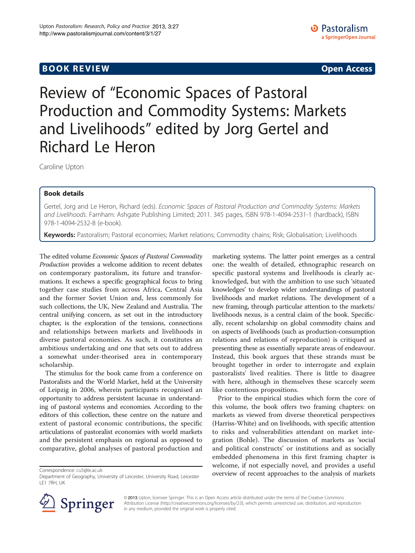# **BOOK REVIEW CONTROL** BOOK REVIEW

Review of "Economic Spaces of Pastoral Production and Commodity Systems: Markets and Livelihoods" edited by Jorg Gertel and Richard Le Heron

Caroline Upton

## Book details

Gertel, Jorg and Le Heron, Richard (eds). Economic Spaces of Pastoral Production and Commodity Systems: Markets and Livelihoods. Farnham: Ashgate Publishing Limited; 2011. 345 pages, ISBN 978-1-4094-2531-1 (hardback), ISBN 978-1-4094-2532-8 (e-book).

Keywords: Pastoralism; Pastoral economies; Market relations; Commodity chains; Risk; Globalisation; Livelihoods

The edited volume Economic Spaces of Pastoral Commodity Production provides a welcome addition to recent debates on contemporary pastoralism, its future and transformations. It eschews a specific geographical focus to bring together case studies from across Africa, Central Asia and the former Soviet Union and, less commonly for such collections, the UK, New Zealand and Australia. The central unifying concern, as set out in the introductory chapter, is the exploration of the tensions, connections and relationships between markets and livelihoods in diverse pastoral economies. As such, it constitutes an ambitious undertaking and one that sets out to address a somewhat under-theorised area in contemporary scholarship.

The stimulus for the book came from a conference on Pastoralists and the World Market, held at the University of Leipzig in 2006, wherein participants recognised an opportunity to address persistent lacunae in understanding of pastoral systems and economies. According to the editors of this collection, these centre on the nature and extent of pastoral economic contributions, the specific articulations of pastoralist economies with world markets and the persistent emphasis on regional as opposed to comparative, global analyses of pastoral production and

marketing systems. The latter point emerges as a central one: the wealth of detailed, ethnographic research on specific pastoral systems and livelihoods is clearly acknowledged, but with the ambition to use such 'situated knowledges' to develop wider understandings of pastoral livelihoods and market relations. The development of a new framing, through particular attention to the markets/ livelihoods nexus, is a central claim of the book. Specifically, recent scholarship on global commodity chains and on aspects of livelihoods (such as production-consumption relations and relations of reproduction) is critiqued as presenting these as essentially separate areas of endeavour. Instead, this book argues that these strands must be brought together in order to interrogate and explain pastoralists' lived realities. There is little to disagree with here, although in themselves these scarcely seem like contentious propositions.

Prior to the empirical studies which form the core of this volume, the book offers two framing chapters: on markets as viewed from diverse theoretical perspectives (Harriss-White) and on livelihoods, with specific attention to risks and vulnerabilities attendant on market integration (Bohle). The discussion of markets as 'social and political constructs' or institutions and as socially embedded phenomena in this first framing chapter is welcome, if not especially novel, and provides a useful overview of recent approaches to the analysis of markets Correspondence: [cu5@le.ac.uk](mailto:cu5@le.ac.uk)



© 2013 Upton; licensee Springer. This is an Open Access article distributed under the terms of the Creative Commons Attribution License [\(http://creativecommons.org/licenses/by/2.0\)](http://creativecommons.org/licenses/by/2.0), which permits unrestricted use, distribution, and reproduction in any medium, provided the original work is properly cited.

Department of Geography, University of Leicester, University Road, Leicester LE1 7RH, UK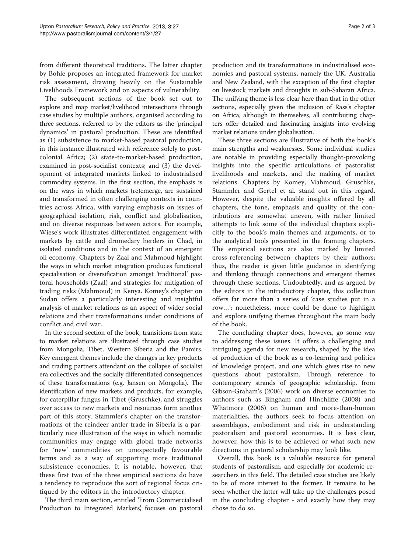from different theoretical traditions. The latter chapter by Bohle proposes an integrated framework for market risk assessment, drawing heavily on the Sustainable Livelihoods Framework and on aspects of vulnerability.

The subsequent sections of the book set out to explore and map market/livelihood intersections through case studies by multiple authors, organised according to three sections, referred to by the editors as the 'principal dynamics' in pastoral production. These are identified as (1) subsistence to market-based pastoral production, in this instance illustrated with reference solely to postcolonial Africa; (2) state-to-market-based production, examined in post-socialist contexts; and (3) the development of integrated markets linked to industrialised commodity systems. In the first section, the emphasis is on the ways in which markets (re)emerge, are sustained and transformed in often challenging contexts in countries across Africa, with varying emphasis on issues of geographical isolation, risk, conflict and globalisation, and on diverse responses between actors. For example, Wiese's work illustrates differentiated engagement with markets by cattle and dromedary herders in Chad, in isolated conditions and in the context of an emergent oil economy. Chapters by Zaal and Mahmoud highlight the ways in which market integration produces functional specialisation or diversification amongst 'traditional' pastoral households (Zaal) and strategies for mitigation of trading risks (Mahmoud) in Kenya. Komey's chapter on Sudan offers a particularly interesting and insightful analysis of market relations as an aspect of wider social relations and their transformations under conditions of conflict and civil war.

In the second section of the book, transitions from state to market relations are illustrated through case studies from Mongolia, Tibet, Western Siberia and the Pamirs. Key emergent themes include the changes in key products and trading partners attendant on the collapse of socialist era collectives and the socially differentiated consequences of these transformations (e.g. Jansen on Mongolia). The identification of new markets and products, for example, for caterpillar fungus in Tibet (Gruschke), and struggles over access to new markets and resources form another part of this story. Stammler's chapter on the transformations of the reindeer antler trade in Siberia is a particularly nice illustration of the ways in which nomadic communities may engage with global trade networks for 'new' commodities on unexpectedly favourable terms and as a way of supporting more traditional subsistence economies. It is notable, however, that these first two of the three empirical sections do have a tendency to reproduce the sort of regional focus critiqued by the editors in the introductory chapter.

The third main section, entitled 'From Commercialised Production to Integrated Markets', focuses on pastoral

production and its transformations in industrialised economies and pastoral systems, namely the UK, Australia and New Zealand, with the exception of the first chapter on livestock markets and droughts in sub-Saharan Africa. The unifying theme is less clear here than that in the other sections, especially given the inclusion of Rass's chapter on Africa, although in themselves, all contributing chapters offer detailed and fascinating insights into evolving market relations under globalisation.

These three sections are illustrative of both the book's main strengths and weaknesses. Some individual studies are notable in providing especially thought-provoking insights into the specific articulations of pastoralist livelihoods and markets, and the making of market relations. Chapters by Komey, Mahmoud, Gruschke, Stammler and Gertel et al. stand out in this regard. However, despite the valuable insights offered by all chapters, the tone, emphasis and quality of the contributions are somewhat uneven, with rather limited attempts to link some of the individual chapters explicitly to the book's main themes and arguments, or to the analytical tools presented in the framing chapters. The empirical sections are also marked by limited cross-referencing between chapters by their authors; thus, the reader is given little guidance in identifying and thinking through connections and emergent themes through these sections. Undoubtedly, and as argued by the editors in the introductory chapter, this collection offers far more than a series of 'case studies put in a row…'; nonetheless, more could be done to highlight and explore unifying themes throughout the main body of the book.

The concluding chapter does, however, go some way to addressing these issues. It offers a challenging and intriguing agenda for new research, shaped by the idea of production of the book as a co-learning and politics of knowledge project, and one which gives rise to new questions about pastoralism. Through reference to contemporary strands of geographic scholarship, from Gibson-Graham's ([2006](#page-2-0)) work on diverse economies to authors such as Bingham and Hinchliffe [\(2008](#page-2-0)) and Whatmore ([2006](#page-2-0)) on human and more-than-human materialities, the authors seek to focus attention on assemblages, embodiment and risk in understanding pastoralism and pastoral economies. It is less clear, however, how this is to be achieved or what such new directions in pastoral scholarship may look like.

Overall, this book is a valuable resource for general students of pastoralism, and especially for academic researchers in this field. The detailed case studies are likely to be of more interest to the former. It remains to be seen whether the latter will take up the challenges posed in the concluding chapter - and exactly how they may chose to do so.